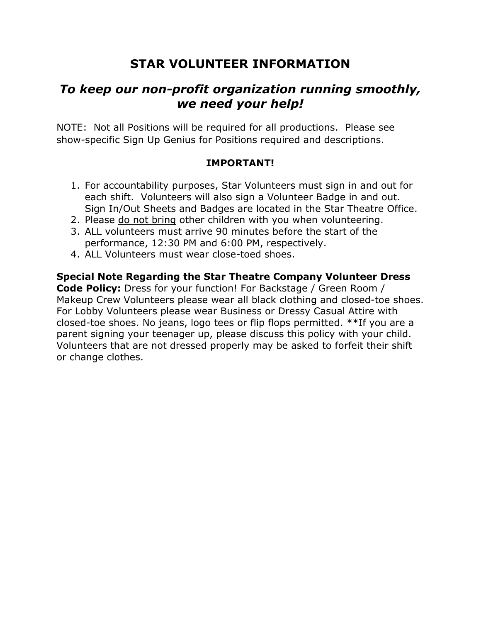# **STAR VOLUNTEER INFORMATION**

# *To keep our non-profit organization running smoothly, we need your help!*

NOTE: Not all Positions will be required for all productions. Please see show-specific Sign Up Genius for Positions required and descriptions.

# **IMPORTANT!**

- 1. For accountability purposes, Star Volunteers must sign in and out for each shift. Volunteers will also sign a Volunteer Badge in and out. Sign In/Out Sheets and Badges are located in the Star Theatre Office.
- 2. Please do not bring other children with you when volunteering.
- 3. ALL volunteers must arrive 90 minutes before the start of the performance, 12:30 PM and 6:00 PM, respectively.
- 4. ALL Volunteers must wear close-toed shoes.

**Special Note Regarding the Star Theatre Company Volunteer Dress Code Policy:** Dress for your function! For Backstage / Green Room / Makeup Crew Volunteers please wear all black clothing and closed-toe shoes. For Lobby Volunteers please wear Business or Dressy Casual Attire with closed-toe shoes. No jeans, logo tees or flip flops permitted. \*\*If you are a parent signing your teenager up, please discuss this policy with your child. Volunteers that are not dressed properly may be asked to forfeit their shift or change clothes.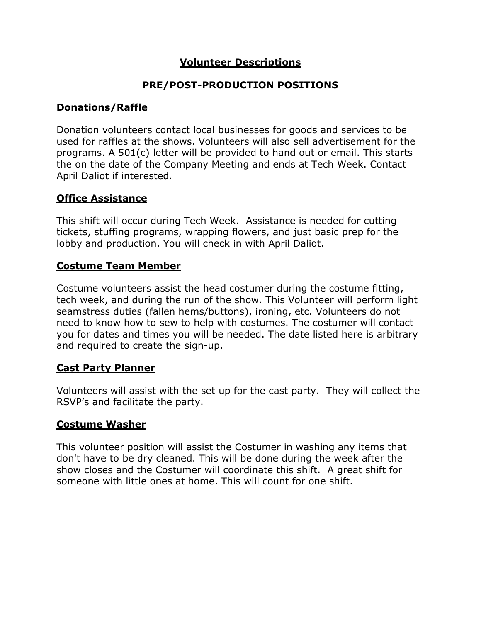# **Volunteer Descriptions**

#### **PRE/POST-PRODUCTION POSITIONS**

# **Donations/Raffle**

Donation volunteers contact local businesses for goods and services to be used for raffles at the shows. Volunteers will also sell advertisement for the programs. A 501(c) letter will be provided to hand out or email. This starts the on the date of the Company Meeting and ends at Tech Week. Contact April Daliot if interested.

## **Office Assistance**

This shift will occur during Tech Week. Assistance is needed for cutting tickets, stuffing programs, wrapping flowers, and just basic prep for the lobby and production. You will check in with April Daliot.

#### **Costume Team Member**

Costume volunteers assist the head costumer during the costume fitting, tech week, and during the run of the show. This Volunteer will perform light seamstress duties (fallen hems/buttons), ironing, etc. Volunteers do not need to know how to sew to help with costumes. The costumer will contact you for dates and times you will be needed. The date listed here is arbitrary and required to create the sign-up.

#### **Cast Party Planner**

Volunteers will assist with the set up for the cast party. They will collect the RSVP's and facilitate the party.

#### **Costume Washer**

This volunteer position will assist the Costumer in washing any items that don't have to be dry cleaned. This will be done during the week after the show closes and the Costumer will coordinate this shift. A great shift for someone with little ones at home. This will count for one shift.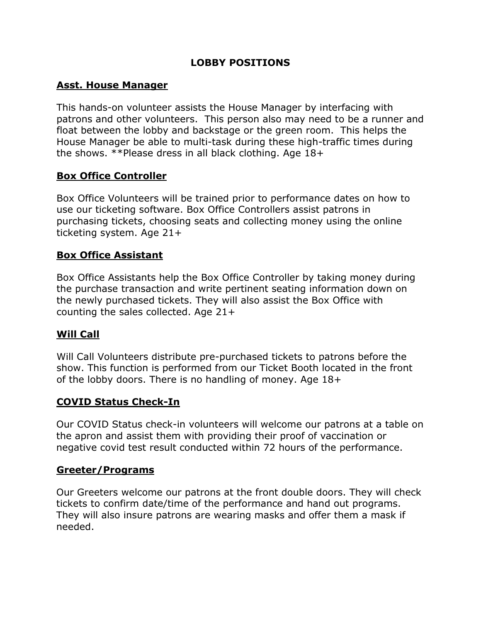# **LOBBY POSITIONS**

# **Asst. House Manager**

This hands-on volunteer assists the House Manager by interfacing with patrons and other volunteers. This person also may need to be a runner and float between the lobby and backstage or the green room. This helps the House Manager be able to multi-task during these high-traffic times during the shows. \*\*Please dress in all black clothing. Age 18+

## **Box Office Controller**

Box Office Volunteers will be trained prior to performance dates on how to use our ticketing software. Box Office Controllers assist patrons in purchasing tickets, choosing seats and collecting money using the online ticketing system. Age 21+

## **Box Office Assistant**

Box Office Assistants help the Box Office Controller by taking money during the purchase transaction and write pertinent seating information down on the newly purchased tickets. They will also assist the Box Office with counting the sales collected. Age 21+

# **Will Call**

Will Call Volunteers distribute pre-purchased tickets to patrons before the show. This function is performed from our Ticket Booth located in the front of the lobby doors. There is no handling of money. Age 18+

#### **COVID Status Check-In**

Our COVID Status check-in volunteers will welcome our patrons at a table on the apron and assist them with providing their proof of vaccination or negative covid test result conducted within 72 hours of the performance.

#### **Greeter/Programs**

Our Greeters welcome our patrons at the front double doors. They will check tickets to confirm date/time of the performance and hand out programs. They will also insure patrons are wearing masks and offer them a mask if needed.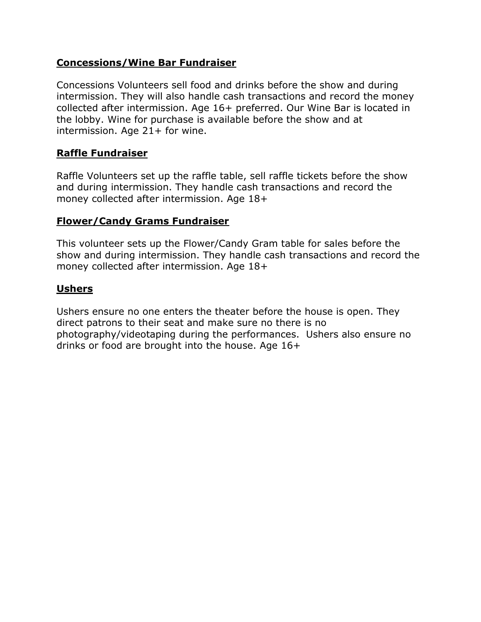## **Concessions/Wine Bar Fundraiser**

Concessions Volunteers sell food and drinks before the show and during intermission. They will also handle cash transactions and record the money collected after intermission. Age 16+ preferred. Our Wine Bar is located in the lobby. Wine for purchase is available before the show and at intermission. Age 21+ for wine.

## **Raffle Fundraiser**

Raffle Volunteers set up the raffle table, sell raffle tickets before the show and during intermission. They handle cash transactions and record the money collected after intermission. Age 18+

#### **Flower/Candy Grams Fundraiser**

This volunteer sets up the Flower/Candy Gram table for sales before the show and during intermission. They handle cash transactions and record the money collected after intermission. Age 18+

# **Ushers**

Ushers ensure no one enters the theater before the house is open. They direct patrons to their seat and make sure no there is no photography/videotaping during the performances. Ushers also ensure no drinks or food are brought into the house. Age 16+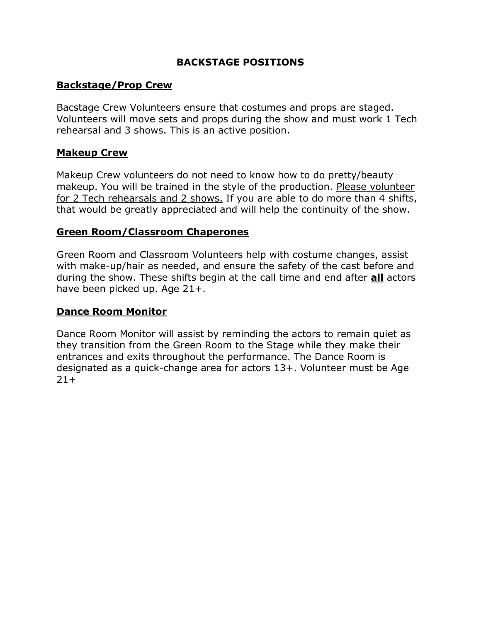## **BACKSTAGE POSITIONS**

## **Backstage/Prop Crew**

Bacstage Crew Volunteers ensure that costumes and props are staged. Volunteers will move sets and props during the show and must work 1 Tech rehearsal and 3 shows. This is an active position.

#### **Makeup Crew**

Makeup Crew volunteers do not need to know how to do pretty/beauty makeup. You will be trained in the style of the production. Please volunteer for 2 Tech rehearsals and 2 shows. If you are able to do more than 4 shifts, that would be greatly appreciated and will help the continuity of the show.

#### **Green Room/Classroom Chaperones**

Green Room and Classroom Volunteers help with costume changes, assist with make-up/hair as needed, and ensure the safety of the cast before and during the show. These shifts begin at the call time and end after **all** actors have been picked up. Age 21+.

#### **Dance Room Monitor**

Dance Room Monitor will assist by reminding the actors to remain quiet as they transition from the Green Room to the Stage while they make their entrances and exits throughout the performance. The Dance Room is designated as a quick-change area for actors 13+. Volunteer must be Age  $21+$